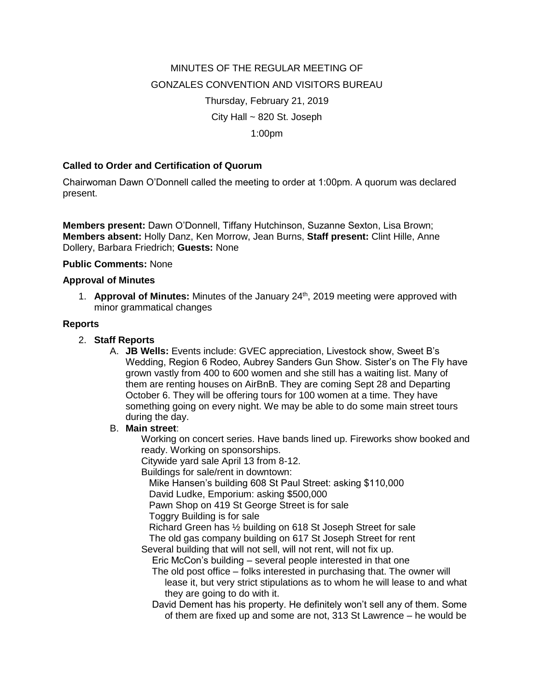# MINUTES OF THE REGULAR MEETING OF GONZALES CONVENTION AND VISITORS BUREAU Thursday, February 21, 2019 City Hall ~ 820 St. Joseph 1:00pm

## **Called to Order and Certification of Quorum**

Chairwoman Dawn O'Donnell called the meeting to order at 1:00pm. A quorum was declared present.

**Members present:** Dawn O'Donnell, Tiffany Hutchinson, Suzanne Sexton, Lisa Brown; **Members absent:** Holly Danz, Ken Morrow, Jean Burns, **Staff present:** Clint Hille, Anne Dollery, Barbara Friedrich; **Guests:** None

#### **Public Comments:** None

#### **Approval of Minutes**

1. **Approval of Minutes:** Minutes of the January 24<sup>th</sup>, 2019 meeting were approved with minor grammatical changes

#### **Reports**

#### 2. **Staff Reports**

A. **JB Wells:** Events include: GVEC appreciation, Livestock show, Sweet B's Wedding, Region 6 Rodeo, Aubrey Sanders Gun Show. Sister's on The Fly have grown vastly from 400 to 600 women and she still has a waiting list. Many of them are renting houses on AirBnB. They are coming Sept 28 and Departing October 6. They will be offering tours for 100 women at a time. They have something going on every night. We may be able to do some main street tours during the day.

#### B. **Main street**:

Working on concert series. Have bands lined up. Fireworks show booked and ready. Working on sponsorships.

Citywide yard sale April 13 from 8-12.

Buildings for sale/rent in downtown:

Mike Hansen's building 608 St Paul Street: asking \$110,000

David Ludke, Emporium: asking \$500,000

Pawn Shop on 419 St George Street is for sale

Toggry Building is for sale

Richard Green has ½ building on 618 St Joseph Street for sale The old gas company building on 617 St Joseph Street for rent

Several building that will not sell, will not rent, will not fix up.

Eric McCon's building – several people interested in that one

 The old post office – folks interested in purchasing that. The owner will lease it, but very strict stipulations as to whom he will lease to and what they are going to do with it.

 David Dement has his property. He definitely won't sell any of them. Some of them are fixed up and some are not, 313 St Lawrence – he would be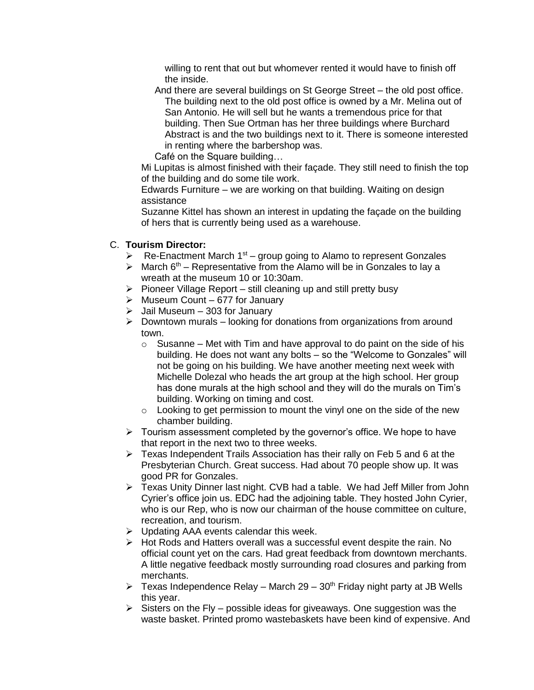willing to rent that out but whomever rented it would have to finish off the inside.

 And there are several buildings on St George Street – the old post office. The building next to the old post office is owned by a Mr. Melina out of San Antonio. He will sell but he wants a tremendous price for that building. Then Sue Ortman has her three buildings where Burchard Abstract is and the two buildings next to it. There is someone interested in renting where the barbershop was.

Café on the Square building…

Mi Lupitas is almost finished with their façade. They still need to finish the top of the building and do some tile work.

Edwards Furniture – we are working on that building. Waiting on design assistance

Suzanne Kittel has shown an interest in updating the façade on the building of hers that is currently being used as a warehouse.

## C. **Tourism Director:**

- $\triangleright$  Re-Enactment March 1<sup>st</sup> group going to Alamo to represent Gonzales
- $\triangleright$  March 6<sup>th</sup> Representative from the Alamo will be in Gonzales to lay a wreath at the museum 10 or 10:30am.
- $\triangleright$  Pioneer Village Report still cleaning up and still pretty busy
- $\triangleright$  Museum Count 677 for January
- $\geq$  Jail Museum 303 for January
- ➢ Downtown murals looking for donations from organizations from around town.
	- $\circ$  Susanne Met with Tim and have approval to do paint on the side of his building. He does not want any bolts – so the "Welcome to Gonzales" will not be going on his building. We have another meeting next week with Michelle Dolezal who heads the art group at the high school. Her group has done murals at the high school and they will do the murals on Tim's building. Working on timing and cost.
	- o Looking to get permission to mount the vinyl one on the side of the new chamber building.
- $\triangleright$  Tourism assessment completed by the governor's office. We hope to have that report in the next two to three weeks.
- $\triangleright$  Texas Independent Trails Association has their rally on Feb 5 and 6 at the Presbyterian Church. Great success. Had about 70 people show up. It was good PR for Gonzales.
- ➢ Texas Unity Dinner last night. CVB had a table. We had Jeff Miller from John Cyrier's office join us. EDC had the adjoining table. They hosted John Cyrier, who is our Rep, who is now our chairman of the house committee on culture, recreation, and tourism.
- ➢ Updating AAA events calendar this week.
- ➢ Hot Rods and Hatters overall was a successful event despite the rain. No official count yet on the cars. Had great feedback from downtown merchants. A little negative feedback mostly surrounding road closures and parking from merchants.
- $\triangleright$  Texas Independence Relay March 29 30<sup>th</sup> Friday night party at JB Wells this year.
- $\triangleright$  Sisters on the Fly possible ideas for giveaways. One suggestion was the waste basket. Printed promo wastebaskets have been kind of expensive. And